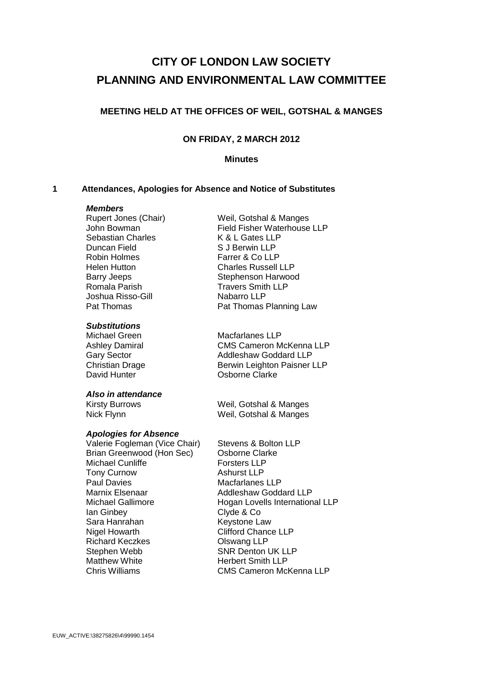# **CITY OF LONDON LAW SOCIETY PLANNING AND ENVIRONMENTAL LAW COMMITTEE**

# **MEETING HELD AT THE OFFICES OF WEIL, GOTSHAL & MANGES**

# **ON FRIDAY, 2 MARCH 2012**

# **Minutes**

# **1 Attendances, Apologies for Absence and Notice of Substitutes**

#### *Members*

Sebastian Charles K & L Gates LLP Duncan Field S J Berwin LLP Robin Holmes Farrer & Co LLP Romala Parish Travers Smith LLP Joshua Risso-Gill **Nabarro LLP**<br>
Pat Thomas **Pat Thomas** 

#### *Substitutions*

#### *Also in attendance*

#### *Apologies for Absence*

Valerie Fogleman (Vice Chair) Stevens & Bolton LLP Brian Greenwood (Hon Sec) Osborne Clarke Michael Cunliffe Forsters LLP<br>
Tony Curnow<br>
Ashurst LLP **Tony Curnow** Paul Davies **Macfarlanes** LLP Marnix Elsenaar **Addleshaw Goddard LLP** Ian Ginbey Clyde & Co Sara Hanrahan Keystone Law Nigel Howarth Clifford Chance LLP Richard Keczkes Olswang LLP Stephen Webb SNR Denton UK LLP Matthew White **Herbert Smith LLP** 

Rupert Jones (Chair) Weil, Gotshal & Manges John Bowman Field Fisher Waterhouse LLP Helen Hutton Charles Russell LLP Barry Jeeps Stephenson Harwood Pat Thomas Planning Law

Michael Green Macfarlanes LLP Ashley Damiral CMS Cameron McKenna LLP Gary Sector **Addleshaw Goddard LLP** Christian Drage Berwin Leighton Paisner LLP<br>David Hunter Clarke Osborne Clarke

Kirsty Burrows Weil, Gotshal & Manges Nick Flynn Weil, Gotshal & Manges

Michael Gallimore **Hogan Lovells International LLP** Chris Williams CMS Cameron McKenna LLP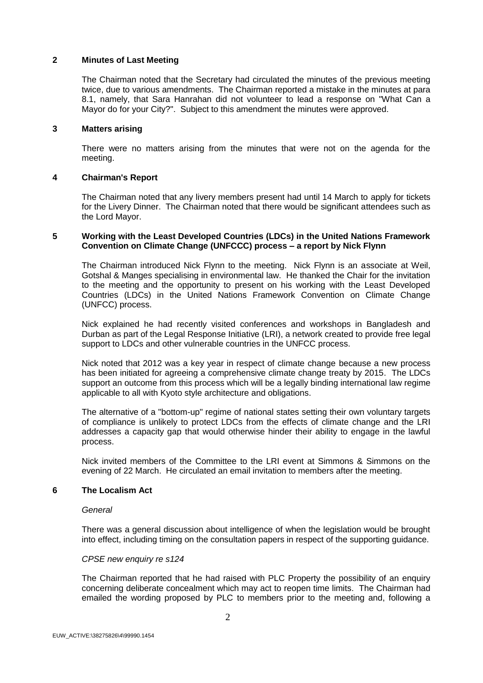# **2 Minutes of Last Meeting**

The Chairman noted that the Secretary had circulated the minutes of the previous meeting twice, due to various amendments. The Chairman reported a mistake in the minutes at para 8.1, namely, that Sara Hanrahan did not volunteer to lead a response on "What Can a Mayor do for your City?". Subject to this amendment the minutes were approved.

# **3 Matters arising**

There were no matters arising from the minutes that were not on the agenda for the meeting.

# **4 Chairman's Report**

The Chairman noted that any livery members present had until 14 March to apply for tickets for the Livery Dinner. The Chairman noted that there would be significant attendees such as the Lord Mayor.

# **5 Working with the Least Developed Countries (LDCs) in the United Nations Framework Convention on Climate Change (UNFCCC) process – a report by Nick Flynn**

The Chairman introduced Nick Flynn to the meeting. Nick Flynn is an associate at Weil, Gotshal & Manges specialising in environmental law. He thanked the Chair for the invitation to the meeting and the opportunity to present on his working with the Least Developed Countries (LDCs) in the United Nations Framework Convention on Climate Change (UNFCC) process.

Nick explained he had recently visited conferences and workshops in Bangladesh and Durban as part of the Legal Response Initiative (LRI), a network created to provide free legal support to LDCs and other vulnerable countries in the UNFCC process.

Nick noted that 2012 was a key year in respect of climate change because a new process has been initiated for agreeing a comprehensive climate change treaty by 2015. The LDCs support an outcome from this process which will be a legally binding international law regime applicable to all with Kyoto style architecture and obligations.

The alternative of a "bottom-up" regime of national states setting their own voluntary targets of compliance is unlikely to protect LDCs from the effects of climate change and the LRI addresses a capacity gap that would otherwise hinder their ability to engage in the lawful process.

Nick invited members of the Committee to the LRI event at Simmons & Simmons on the evening of 22 March. He circulated an email invitation to members after the meeting.

#### **6 The Localism Act**

#### *General*

There was a general discussion about intelligence of when the legislation would be brought into effect, including timing on the consultation papers in respect of the supporting guidance.

#### *CPSE new enquiry re s124*

The Chairman reported that he had raised with PLC Property the possibility of an enquiry concerning deliberate concealment which may act to reopen time limits. The Chairman had emailed the wording proposed by PLC to members prior to the meeting and, following a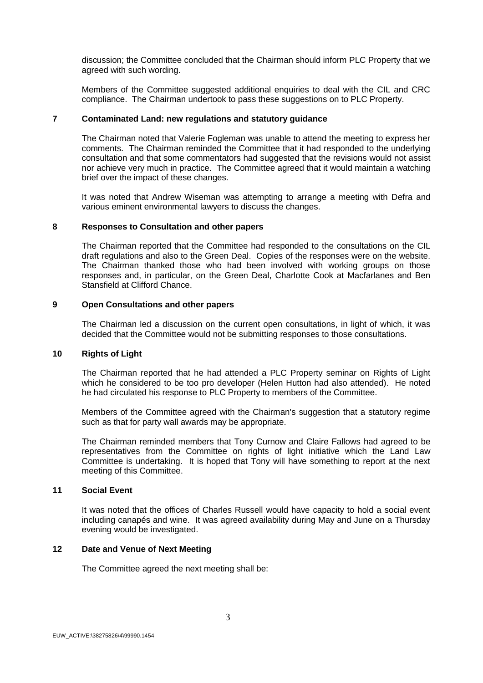discussion; the Committee concluded that the Chairman should inform PLC Property that we agreed with such wording.

Members of the Committee suggested additional enquiries to deal with the CIL and CRC compliance. The Chairman undertook to pass these suggestions on to PLC Property.

#### **7 Contaminated Land: new regulations and statutory guidance**

The Chairman noted that Valerie Fogleman was unable to attend the meeting to express her comments. The Chairman reminded the Committee that it had responded to the underlying consultation and that some commentators had suggested that the revisions would not assist nor achieve very much in practice. The Committee agreed that it would maintain a watching brief over the impact of these changes.

It was noted that Andrew Wiseman was attempting to arrange a meeting with Defra and various eminent environmental lawyers to discuss the changes.

# **8 Responses to Consultation and other papers**

The Chairman reported that the Committee had responded to the consultations on the CIL draft regulations and also to the Green Deal. Copies of the responses were on the website. The Chairman thanked those who had been involved with working groups on those responses and, in particular, on the Green Deal, Charlotte Cook at Macfarlanes and Ben Stansfield at Clifford Chance.

# **9 Open Consultations and other papers**

The Chairman led a discussion on the current open consultations, in light of which, it was decided that the Committee would not be submitting responses to those consultations.

# **10 Rights of Light**

The Chairman reported that he had attended a PLC Property seminar on Rights of Light which he considered to be too pro developer (Helen Hutton had also attended). He noted he had circulated his response to PLC Property to members of the Committee.

Members of the Committee agreed with the Chairman's suggestion that a statutory regime such as that for party wall awards may be appropriate.

The Chairman reminded members that Tony Curnow and Claire Fallows had agreed to be representatives from the Committee on rights of light initiative which the Land Law Committee is undertaking. It is hoped that Tony will have something to report at the next meeting of this Committee.

#### **11 Social Event**

It was noted that the offices of Charles Russell would have capacity to hold a social event including canapés and wine. It was agreed availability during May and June on a Thursday evening would be investigated.

# **12 Date and Venue of Next Meeting**

The Committee agreed the next meeting shall be: